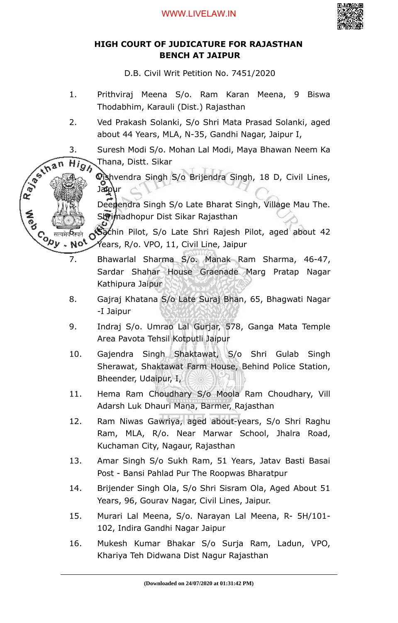

# **HIGH COURT OF JUDICATURE FOR RAJASTHAN BENCH AT JAIPUR**

D.B. Civil Writ Petition No. 7451/2020

- 1. Prithviraj Meena S/o. Ram Karan Meena, 9 Biswa Thodabhim, Karauli (Dist.) Rajasthan
- 2. Ved Prakash Solanki, S/o Shri Mata Prasad Solanki, aged about 44 Years, MLA, N-35, Gandhi Nagar, Jaipur I,
- 3. Suresh Modi S/o. Mohan Lal Modi, Maya Bhawan Neem Ka
- Thana, Distt. Sikar

R. B. Ellis

Contraine

No<sup>t</sup>

 $\overrightarrow{Hig}_\lambda$  Thana, Distt. Sikar<br> $\overrightarrow{A}_{\text{max}}$  Vishvendra Singh S/o Brijendra Singh, 18 D, Civil Lines, Janpur

> Deependra Singh S/o Late Bharat Singh, Village Mau The. Shrimadhopur Dist Sikar Rajasthan

Sachin Pilot, S/o Late Shri Rajesh Pilot, aged about 42 Years, R/o. VPO, 11, Civil Line, Jaipur

- 7. Bhawarlal Sharma S/o. Manak Ram Sharma, 46-47, Sardar Shahar House Graenade Marg Pratap Nagar Kathipura Jaipur
- 8. Gajraj Khatana S/o Late Suraj Bhan, 65, Bhagwati Nagar -I Jaipur
- 9. Indraj S/o. Umrao Lal Gurjar, 578, Ganga Mata Temple Area Pavota Tehsil Kotputli Jaipur
- 10. Gajendra Singh Shaktawat, S/o Shri Gulab Singh Sherawat, Shaktawat Farm House, Behind Police Station, Bheender, Udaipur, I,
- 11. Hema Ram Choudhary S/o Moola Ram Choudhary, Vill Adarsh Luk Dhauri Mana, Barmer, Rajasthan
- 12. Ram Niwas Gawriya, aged about-years, S/o Shri Raghu Ram, MLA, R/o. Near Marwar School, Jhalra Road, Kuchaman City, Nagaur, Rajasthan
- 13. Amar Singh S/o Sukh Ram, 51 Years, Jatav Basti Basai Post - Bansi Pahlad Pur The Roopwas Bharatpur
- 14. Brijender Singh Ola, S/o Shri Sisram Ola, Aged About 51 Years, 96, Gourav Nagar, Civil Lines, Jaipur.
- 15. Murari Lal Meena, S/o. Narayan Lal Meena, R- 5H/101- 102, Indira Gandhi Nagar Jaipur
- 16. Mukesh Kumar Bhakar S/o Surja Ram, Ladun, VPO, Khariya Teh Didwana Dist Nagur Rajasthan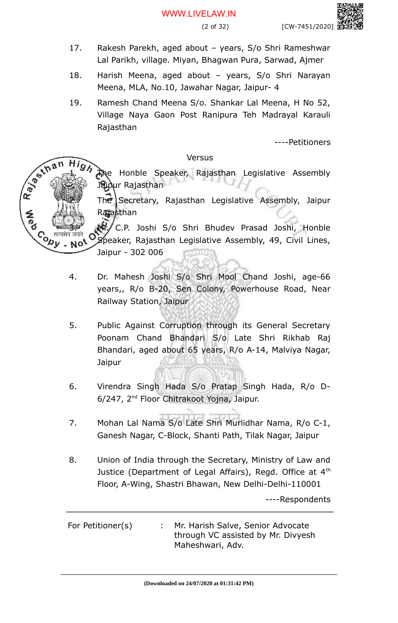- 17. Rakesh Parekh, aged about years, S/o Shri Rameshwar Lal Parikh, village. Miyan, Bhagwan Pura, Sarwad, Ajmer
- 18. Harish Meena, aged about years, S/o Shri Narayan Meena, MLA, No.10, Jawahar Nagar, Jaipur- 4
- 19. Ramesh Chand Meena S/o. Shankar Lal Meena, H No 52, Village Naya Gaon Post Ranipura Teh Madrayal Karauli Rajasthan

----Petitioners

### Versus

The Honble Speaker, Rajasthan Legislative Assembly Jaipur Rajasthan

The Secretary, Rajasthan Legislative Assembly, Jaipur Rafasthan

Mr. C.P. Joshi S/o Shri Bhudev Prasad Joshi, Honble Speaker, Rajasthan Legislative Assembly, 49, Civil Lines, Jaipur - 302 006

4. Dr. Mahesh Joshi S/o Shri Mool Chand Joshi, age-66 years,, R/o B-20, Sen Colony, Powerhouse Road, Near Railway Station, Jaipur

3.

No<sup>t</sup>

Rayton's

**Copy** 

- 5. Public Against Corruption through its General Secretary Poonam Chand Bhandari S/o Late Shri Rikhab Raj Bhandari, aged about 65 years, R/o A-14, Malviya Nagar, Jaipur
- 6. Virendra Singh Hada S/o Pratap Singh Hada, R/o D-6/247, 2nd Floor Chitrakoot Yojna, Jaipur.
- 7. Mohan Lal Nama S/o Late Shri Murlidhar Nama, R/o C-1, Ganesh Nagar, C-Block, Shanti Path, Tilak Nagar, Jaipur
- 8. Union of India through the Secretary, Ministry of Law and Justice (Department of Legal Affairs), Regd. Office at 4<sup>th</sup> Floor, A-Wing, Shastri Bhawan, New Delhi-Delhi-110001

----Respondents

For Petitioner(s) : Mr. Harish Salve, Senior Advocate through VC assisted by Mr. Divyesh Maheshwari, Adv.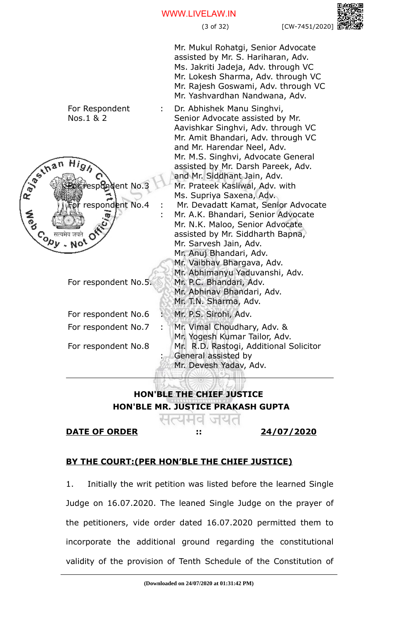### WWW.LIVELAW.IN

(3 of 32) [CW-7451/2020]

Mr. Mukul Rohatgi, Senior Advocate assisted by Mr. S. Hariharan, Adv. Ms. Jakriti Jadeja, Adv. through VC Mr. Lokesh Sharma, Adv. through VC Mr. Rajesh Goswami, Adv. through VC Mr. Yashvardhan Nandwana, Adv.

For Respondent Dr. Abhishek Manu Singhvi, : Nos.1 & 2 Senior Advocate assisted by Mr. Aavishkar Singhvi, Adv. through VC Mr. Amit Bhandari, Adv. through VC and Mr. Harendar Neel, Adv. Rayton's Mr. M.S. Singhvi, Advocate General assisted by Mr. Darsh Pareek, Adv. and Mr. Siddhant Jain, Adv. dent No.3 Mr. Prateek Kasliwal, Adv. with Ms. Supriya Saxena, Adv. respondent No.4 Mr. Devadatt Kamat, Senior Advocate : Mr. A.K. Bhandari, Senior Advocate : Mr. N.K. Maloo, Senior Advocate **Copy** assisted by Mr. Siddharth Bapna, Mr. Sarvesh Jain, Adv. Mr. Anuj Bhandari, Adv. Mr. Vaibhav Bhargava, Adv. Mr. Abhimanyu Yaduvanshi, Adv. Mr. P.C. Bhandari, Adv. For respondent No.5. Mr. Abhinav Bhandari, Adv. Mr. T.N. Sharma, Adv. For respondent No.6 : Mr. P.S. Sirohi, Adv. For respondent No.7 : Mr. Yogesh Kumar Tailor, Adv.

:

For respondent No.8

- Mr. Vimal Choudhary, Adv. &
	- Mr. R.D. Rastogi, Additional Solicitor
	- General assisted by
	- Mr. Devesh Yadav, Adv.

**HON'BLE THE CHIEF JUSTICE HON'BLE MR. JUSTICE PRAKASH GUPTA**

# **DATE OF ORDER :: 24/07/2020**

q

# **BY THE COURT:(PER HON'BLE THE CHIEF JUSTICE)**

1. Initially the writ petition was listed before the learned Single Judge on 16.07.2020. The leaned Single Judge on the prayer of the petitioners, vide order dated 16.07.2020 permitted them to incorporate the additional ground regarding the constitutional validity of the provision of Tenth Schedule of the Constitution of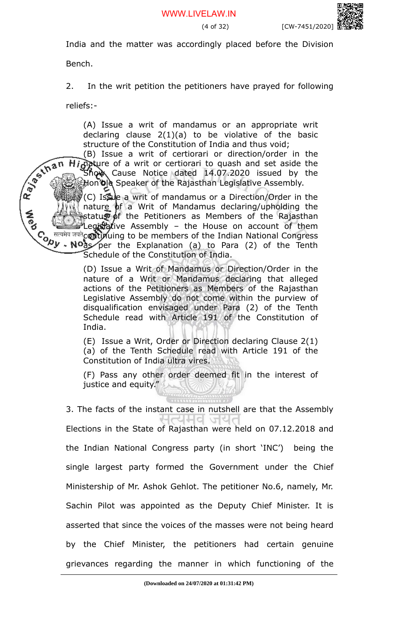India and the matter was accordingly placed before the Division

Bench.

2. In the writ petition the petitioners have prayed for following

reliefs:-

(A) Issue a writ of mandamus or an appropriate writ declaring clause 2(1)(a) to be violative of the basic structure of the Constitution of India and thus void;

R. P. S. In a n (B) Issue a writ of certiorari or direction/order in the Highture of a writ or certiorari to quash and set aside the  $\mathsf{Sh}\mathsf{QW}\setminus\mathsf{Cause}\mathsf{A}$  Cause Notice dated 14.07.2020 issued by the Hon'ble Speaker of the Rajasthan Legislative Assembly.

(C) Issue a writ of mandamus or a Direction/Order in the nature  $\phi$ f a Writ of Mandamus declaring/upholding the status of the Petitioners as Members of the Rajasthan Legistative Assembly - the House on account of them continuing to be members of the Indian National Congress as per the Explanation (a) to Para (2) of the Tenth Schedule of the Constitution of India.

> (D) Issue a Writ of Mandamus or Direction/Order in the nature of a Writ or Mandamus declaring that alleged actions of the Petitioners as Members of the Rajasthan Legislative Assembly do not come within the purview of disqualification envisaged under Para (2) of the Tenth Schedule read with Article 191 of the Constitution of India.

> (E) Issue a Writ, Order or Direction declaring Clause 2(1) (a) of the Tenth Schedule read with Article 191 of the Constitution of India ultra vires.

> (F) Pass any other order deemed fit in the interest of justice and equity."

3. The facts of the instant case in nutshell are that the Assembly d  $\sqrt{2}$ Elections in the State of Rajasthan were held on 07.12.2018 and the Indian National Congress party (in short 'INC') being the single largest party formed the Government under the Chief Ministership of Mr. Ashok Gehlot. The petitioner No.6, namely, Mr. Sachin Pilot was appointed as the Deputy Chief Minister. It is asserted that since the voices of the masses were not being heard by the Chief Minister, the petitioners had certain genuine grievances regarding the manner in which functioning of the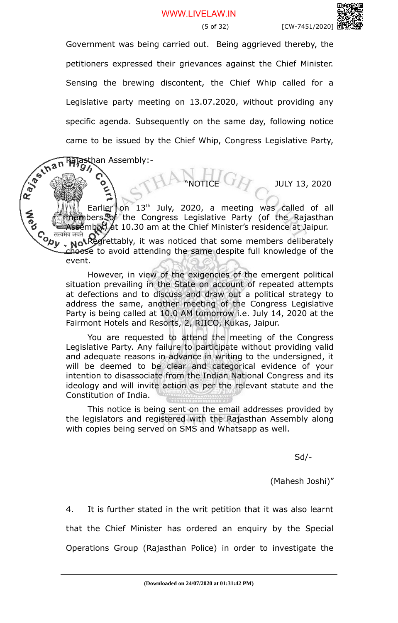Government was being carried out. Being aggrieved thereby, the petitioners expressed their grievances against the Chief Minister. Sensing the brewing discontent, the Chief Whip called for a Legislative party meeting on 13.07.2020, without providing any specific agenda. Subsequently on the same day, following notice came to be issued by the Chief Whip, Congress Legislative Party,<br>  $\frac{1}{2}$   $\frac{1}{2}$   $\frac{1}{2}$   $\frac{1}{2}$   $\frac{1}{2}$   $\frac{1}{2}$   $\frac{1}{2}$   $\frac{1}{2}$   $\frac{1}{2}$   $\frac{1}{2}$   $\frac{1}{2}$   $\frac{1}{2}$   $\frac{1}{2}$   $\frac{1}{2}$   $\frac{1}{2}$   $\frac{1$ 

Rajasthan Assembly:-

JULY 13, 2020

Earlier on  $13<sup>th</sup>$  July, 2020, a meeting was called of all embers of the Congress Legislative Party (of the Rajasthan

Assembly) at 10.30 am at the Chief Minister's residence at Jaipur.<br>Come and Redrettably, it was noticed that some members deliberately Not Regrettably, it was noticed that some members deliberately choose to avoid attending the same despite full knowledge of the event.

However, in view of the exigencies of the emergent political situation prevailing in the State on account of repeated attempts at defections and to discuss and draw out a political strategy to address the same, another meeting of the Congress Legislative Party is being called at 10.0 AM tomorrow i.e. July 14, 2020 at the Fairmont Hotels and Resorts, 2, RIICO, Kukas, Jaipur.

You are requested to attend the meeting of the Congress Legislative Party. Any failure to participate without providing valid and adequate reasons in advance in writing to the undersigned, it will be deemed to be clear and categorical evidence of your intention to disassociate from the Indian National Congress and its ideology and will invite action as per the relevant statute and the Constitution of India.

This notice is being sent on the email addresses provided by the legislators and registered with the Rajasthan Assembly along with copies being served on SMS and Whatsapp as well.

Sd/-

(Mahesh Joshi)"

4. It is further stated in the writ petition that it was also learnt that the Chief Minister has ordered an enquiry by the Special Operations Group (Rajasthan Police) in order to investigate the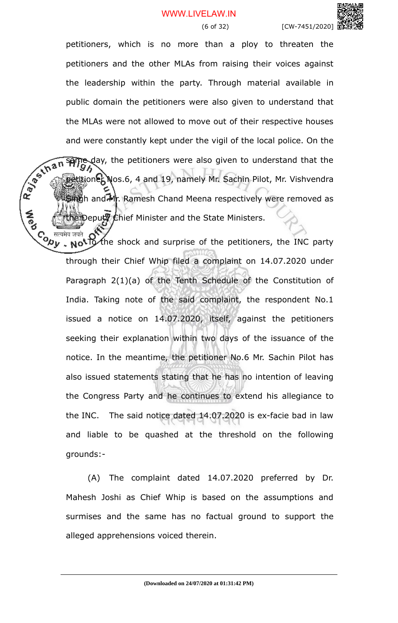### WWW.LIVELAW.IN



petitioners, which is no more than a ploy to threaten the petitioners and the other MLAs from raising their voices against the leadership within the party. Through material available in public domain the petitioners were also given to understand that the MLAs were not allowed to move out of their respective houses and were constantly kept under the vigil of the local police. On the  $\sqrt{2\pi n}$  september were also given to understand that the detailed that the police was also given to understand that the police of  $\frac{1}{2}$  and  $\frac{1$ same day, the petitioners were also given to understand that the petitioner Nos.6, 4 and 19, namely Mr. Sachin Pilot, Mr. Vishvendra Singh and Mr. Ramesh Chand Meena respectively were removed as he Deputy Chief Minister and the State Ministers.

Co <sup>सत्यमेव जयते</sup> OV the shock and surprise of the petitioners, the INC party through their Chief Whip filed a complaint on 14.07.2020 under Paragraph 2(1)(a) of the Tenth Schedule of the Constitution of India. Taking note of the said complaint, the respondent No.1 issued a notice on 14.07.2020, itself, against the petitioners seeking their explanation within two days of the issuance of the notice. In the meantime, the petitioner No.6 Mr. Sachin Pilot has also issued statements stating that he has no intention of leaving the Congress Party and he continues to extend his allegiance to the INC. The said notice dated 14.07.2020 is ex-facie bad in law and liable to be quashed at the threshold on the following grounds:-

(A) The complaint dated 14.07.2020 preferred by Dr. Mahesh Joshi as Chief Whip is based on the assumptions and surmises and the same has no factual ground to support the alleged apprehensions voiced therein.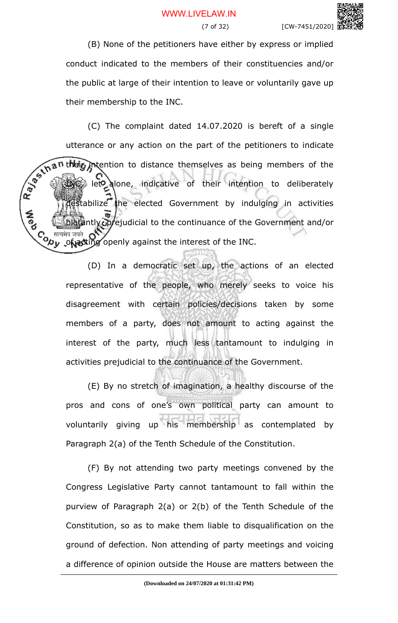(B) None of the petitioners have either by express or implied conduct indicated to the members of their constituencies and/or the public at large of their intention to leave or voluntarily gave up their membership to the INC.

(C) The complaint dated 14.07.2020 is bereft of a single utterance or any action on the part of the petitioners to indicate t**hei<sub>b</sub> int**ention to distance themselves as being members of the INC, let alone, indicative of their intention to deliberately tabilize the elected Government by indulging in activities **A**<br>Po ntly oprejudicial to the continuance of the Government and/or Co सत्यमेव जयते OV<br><Oby .**ाह्य पं**गिल openly against the interest of the INC.

> (D) In a democratic set up, the actions of an elected representative of the people, who merely seeks to voice his disagreement with certain policies/decisions taken by some members of a party, does not amount to acting against the interest of the party, much less tantamount to indulging in activities prejudicial to the continuance of the Government.

> (E) By no stretch of imagination, a healthy discourse of the pros and cons of one's own political party can amount to voluntarily giving up his membership as contemplated by Paragraph 2(a) of the Tenth Schedule of the Constitution.

> (F) By not attending two party meetings convened by the Congress Legislative Party cannot tantamount to fall within the purview of Paragraph 2(a) or 2(b) of the Tenth Schedule of the Constitution, so as to make them liable to disqualification on the ground of defection. Non attending of party meetings and voicing a difference of opinion outside the House are matters between the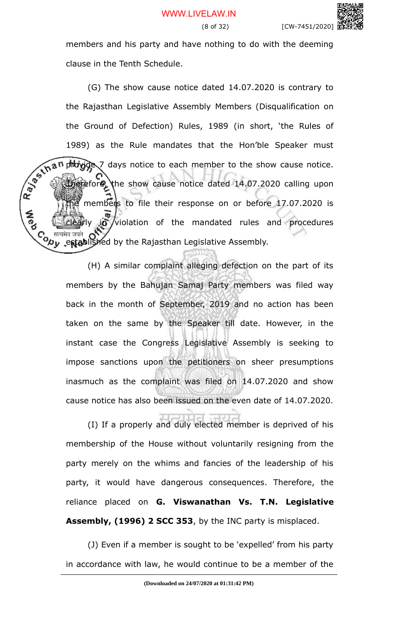members and his party and have nothing to do with the deeming clause in the Tenth Schedule.

(G) The show cause notice dated 14.07.2020 is contrary to the Rajasthan Legislative Assembly Members (Disqualification on the Ground of Defection) Rules, 1989 (in short, 'the Rules of 1989) as the Rule mandates that the Hon'ble Speaker must provide 7 days notice to each member to the show cause notice. Therefore, the show cause notice dated 14.07.2020 calling upon members to file their response on or before 17.07.2020 is io violation of the mandated rules and procedures Co सत्यमेव जयते OVEN by the Rajasthan Legislative Assembly.<br>< Dy .established by the Rajasthan Legislative Assembly.

**A**ed

(H) A similar complaint alleging defection on the part of its members by the Bahujan Samaj Party members was filed way back in the month of September, 2019 and no action has been taken on the same by the Speaker till date. However, in the instant case the Congress Legislative Assembly is seeking to impose sanctions upon the petitioners on sheer presumptions inasmuch as the complaint was filed on 14.07.2020 and show cause notice has also been issued on the even date of 14.07.2020.

(I) If a properly and duly elected member is deprived of his membership of the House without voluntarily resigning from the party merely on the whims and fancies of the leadership of his party, it would have dangerous consequences. Therefore, the reliance placed on **G. Viswanathan Vs. T.N. Legislative Assembly, (1996) 2 SCC 353**, by the INC party is misplaced.

(J) Even if a member is sought to be 'expelled' from his party in accordance with law, he would continue to be a member of the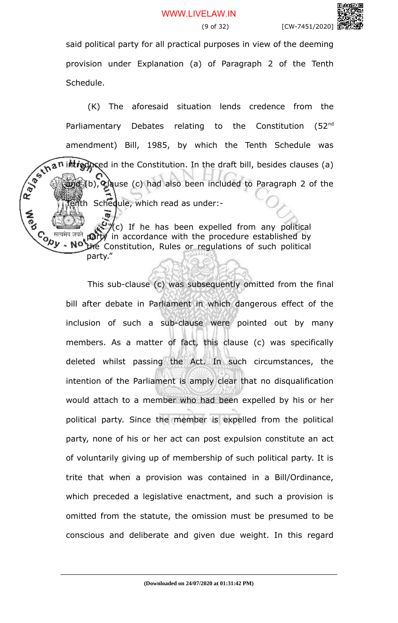said political party for all practical purposes in view of the deeming provision under Explanation (a) of Paragraph 2 of the Tenth Schedule.

(K) The aforesaid situation lends credence from the Parliamentary Debates relating to the Constitution (52<sup>nd</sup> amendment) Bill, 1985, by which the Tenth Schedule was introduced in the Constitution. In the draft bill, besides clauses (a) and (b), clause (c) had also been included to Paragraph 2 of the Inth Schedule, which read as under:-**A**<br>Po

"(c) If he has been expelled from any political Contra de de la mais de la mais de la mais de la mais de la mais de la mais de la mais de la mais de la mais de la mais de la mais de la mais de la mais de la mais de la mais de la mais de la mais de la mais de la mais de ng party in accordance with the procedure established by the Constitution, Rules or regulations of such political party."

> This sub-clause (c) was subsequently omitted from the final bill after debate in Parliament in which dangerous effect of the inclusion of such a sub-clause were pointed out by many members. As a matter of fact, this clause (c) was specifically deleted whilst passing the Act. In such circumstances, the intention of the Parliament is amply clear that no disqualification would attach to a member who had been expelled by his or her political party. Since the member is expelled from the political party, none of his or her act can post expulsion constitute an act of voluntarily giving up of membership of such political party. It is trite that when a provision was contained in a Bill/Ordinance, which preceded a legislative enactment, and such a provision is omitted from the statute, the omission must be presumed to be conscious and deliberate and given due weight. In this regard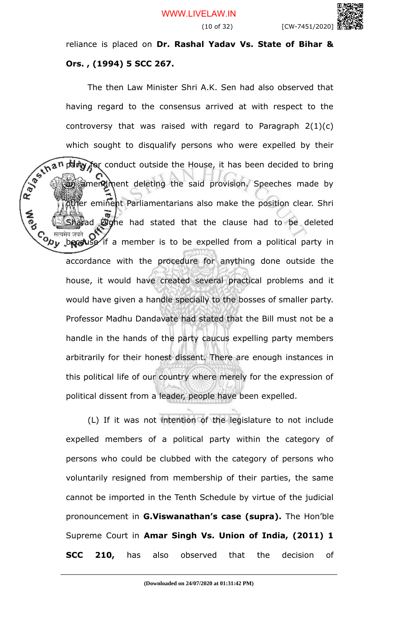(10 of 32) [CW-7451/2020]

reliance is placed on **Dr. Rashal Yadav Vs. State of Bihar & Ors. , (1994) 5 SCC 267.** 

The then Law Minister Shri A.K. Sen had also observed that having regard to the consensus arrived at with respect to the controversy that was raised with regard to Paragraph 2(1)(c) which sought to disqualify persons who were expelled by their party for conduct outside the House, it has been decided to bring an amendment deleting the said provision. Speeches made by fer eminent Parliamentarians also make the position clear. Shri ad **Dighe** had stated that the clause had to be deleted C<sub>o dreatiq and O</sub>V<br>
Upy because if a member is to be expelled from a political party in accordance with the procedure for anything done outside the house, it would have created several practical problems and it would have given a handle specially to the bosses of smaller party. Professor Madhu Dandavate had stated that the Bill must not be a handle in the hands of the party caucus expelling party members arbitrarily for their honest dissent. There are enough instances in this political life of our country where merely for the expression of political dissent from a leader, people have been expelled.

(L) If it was not intention of the legislature to not include expelled members of a political party within the category of persons who could be clubbed with the category of persons who voluntarily resigned from membership of their parties, the same cannot be imported in the Tenth Schedule by virtue of the judicial pronouncement in **G.Viswanathan's case (supra).** The Hon'ble Supreme Court in **Amar Singh Vs. Union of India, (2011) 1 SCC 210,** has also observed that the decision of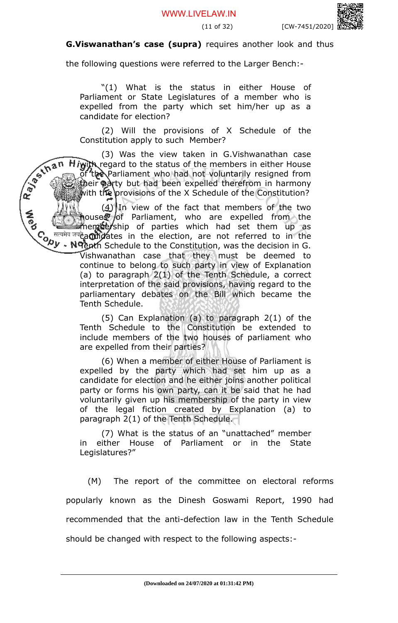

### **G.Viswanathan's case (supra)** requires another look and thus

the following questions were referred to the Larger Bench:-

"(1) What is the status in either House of Parliament or State Legislatures of a member who is expelled from the party which set him/her up as a candidate for election?

(2) Will the provisions of X Schedule of the Constitution apply to such Member?

(3) Was the view taken in G.Vishwanathan case  $H$ iwith regard to the status of the members in either House of the Parliament who had not voluntarily resigned from their party but had been expelled therefrom in harmony with the provisions of the X Schedule of the Constitution?

R. Januar  $(4)$  In view of the fact that members of the two houses of Parliament, who are expelled from the membership of parties which had set them up as candidates in the election, are not referred to in the Tenth Schedule to the Constitution, was the decision in G.

Vishwanathan case that they must be deemed to continue to belong to such party in view of Explanation (a) to paragraph 2(1) of the Tenth Schedule, a correct interpretation of the said provisions, having regard to the parliamentary debates on the Bill which became the Tenth Schedule.

(5) Can Explanation (a) to paragraph 2(1) of the Tenth Schedule to the Constitution be extended to include members of the two houses of parliament who are expelled from their parties?

(6) When a member of either House of Parliament is expelled by the party which had set him up as a candidate for election and he either joins another political party or forms his own party, can it be said that he had voluntarily given up his membership of the party in view of the legal fiction created by Explanation (a) to paragraph 2(1) of the Tenth Schedule.

(7) What is the status of an "unattached" member in either House of Parliament or in the State Legislatures?"

(M) The report of the committee on electoral reforms popularly known as the Dinesh Goswami Report, 1990 had recommended that the anti-defection law in the Tenth Schedule should be changed with respect to the following aspects:-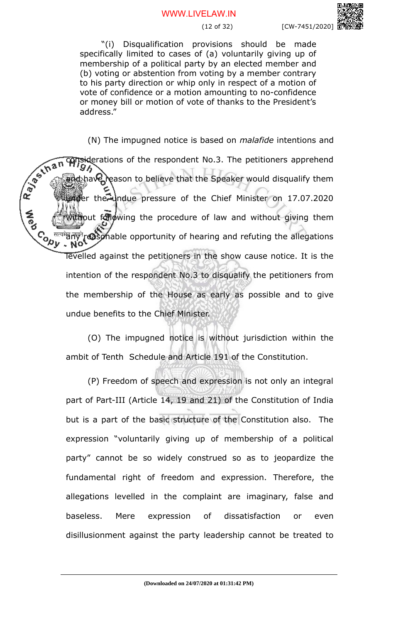#### WWW.LIVELAW.IN

"(i) Disqualification provisions should be made specifically limited to cases of (a) voluntarily giving up of membership of a political party by an elected member and (b) voting or abstention from voting by a member contrary to his party direction or whip only in respect of a motion of vote of confidence or a motion amounting to no-confidence or money bill or motion of vote of thanks to the President's address."

(N) The impugned notice is based on *malafide* intentions and considerations of the respondent No.3. The petitioners apprehend<br>
consideration of the respondent No.3. The petitioners apprehend<br>
consideration of the Speaker would direct the<br>
consideration of the Speaker would direct th and have reason to believe that the Speaker would disqualify them under the undue pressure of the Chief Minister on 17.07.2020 **A**<br>Po ithout following the procedure of law and without giving them  $C_{\Omega_{\mu}}$ <sup>Hean</sup>gmy<sup>n</sup>reasonable opportunity of hearing and refuting the allegations levelled against the petitioners in the show cause notice. It is the intention of the respondent No.3 to disqualify the petitioners from the membership of the House as early as possible and to give undue benefits to the Chief Minister.

> (O) The impugned notice is without jurisdiction within the ambit of Tenth Schedule and Article 191 of the Constitution.

> (P) Freedom of speech and expression is not only an integral part of Part-III (Article 14, 19 and 21) of the Constitution of India but is a part of the basic structure of the Constitution also. The expression "voluntarily giving up of membership of a political party" cannot be so widely construed so as to jeopardize the fundamental right of freedom and expression. Therefore, the allegations levelled in the complaint are imaginary, false and baseless. Mere expression of dissatisfaction or even disillusionment against the party leadership cannot be treated to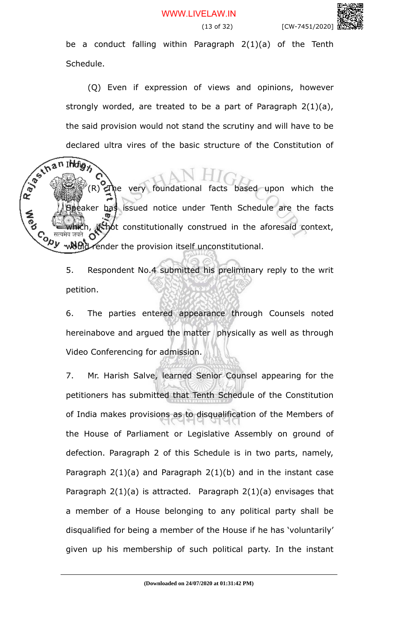(13 of 32) [CW-7451/2020] be a conduct falling within Paragraph 2(1)(a) of the Tenth

(Q) Even if expression of views and opinions, however strongly worded, are treated to be a part of Paragraph 2(1)(a), the said provision would not stand the scrutiny and will have to be declared ultra vires of the basic structure of the Constitution of

Schedule.

clar<br>Ran INdig<sub>11</sub> the very foundational facts based upon which the eaker has issued notice under Tenth Schedule are the facts **A**<br>Po  $\mu$ , if not constitutionally construed in the aforesaid context, Convert would render the provision itself unconstitutional.

> 5. Respondent No.4 submitted his preliminary reply to the writ petition.

> 6. The parties entered appearance through Counsels noted hereinabove and argued the matter physically as well as through Video Conferencing for admission.

> 7. Mr. Harish Salve, learned Senior Counsel appearing for the petitioners has submitted that Tenth Schedule of the Constitution of India makes provisions as to disqualification of the Members of the House of Parliament or Legislative Assembly on ground of defection. Paragraph 2 of this Schedule is in two parts, namely, Paragraph  $2(1)(a)$  and Paragraph  $2(1)(b)$  and in the instant case Paragraph  $2(1)(a)$  is attracted. Paragraph  $2(1)(a)$  envisages that a member of a House belonging to any political party shall be disqualified for being a member of the House if he has 'voluntarily' given up his membership of such political party. In the instant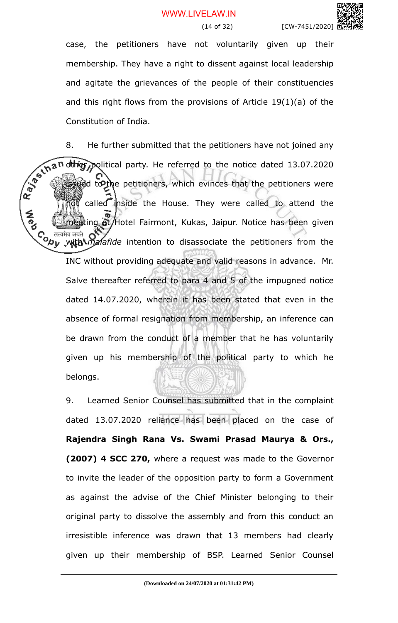case, the petitioners have not voluntarily given up their membership. They have a right to dissent against local leadership and agitate the grievances of the people of their constituencies and this right flows from the provisions of Article 19(1)(a) of the Constitution of India.

8. He further submitted that the petitioners have not joined any Rays in an other political party. He referred to the notice dated 13.07.2020 ied to the petitioners, which evinces that the petitioners were called inside the House. They were called to attend the ng at/Hotel Fairmont, Kukas, Jaipur. Notice has been given C<sub>o सत्यमेव जयते</sub><br>V<sub>OU</sub> with *malafide* intention to disassociate the petitioners from the INC without providing adequate and valid reasons in advance. Mr. Salve thereafter referred to para 4 and 5 of the impugned notice dated 14.07.2020, wherein it has been stated that even in the absence of formal resignation from membership, an inference can be drawn from the conduct of a member that he has voluntarily given up his membership of the political party to which he belongs.

> 9. Learned Senior Counsel has submitted that in the complaint dated 13.07.2020 reliance has been placed on the case of **Rajendra Singh Rana Vs. Swami Prasad Maurya & Ors., (2007) 4 SCC 270,** where a request was made to the Governor to invite the leader of the opposition party to form a Government as against the advise of the Chief Minister belonging to their original party to dissolve the assembly and from this conduct an irresistible inference was drawn that 13 members had clearly given up their membership of BSP. Learned Senior Counsel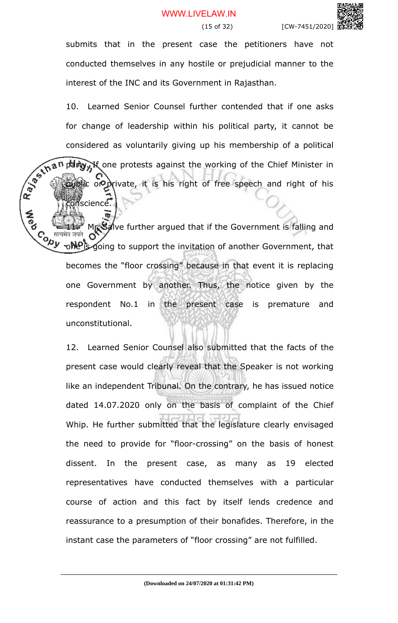submits that in the present case the petitioners have not conducted themselves in any hostile or prejudicial manner to the interest of the INC and its Government in Rajasthan.

10. Learned Senior Counsel further contended that if one asks for change of leadership within his political party, it cannot be considered as voluntarily giving up his membership of a political party. If one protests against the working of the Chief Minister in public or private, it is his right of free speech and right of his conscience.

Mr. Salve further argued that if the Government is falling and Contract one is going to support the invitation of another Government, that becomes the "floor crossing" because in that event it is replacing one Government by another. Thus, the notice given by the respondent No.1 in the present case is premature and unconstitutional.

**A**<br>Po

12. Learned Senior Counsel also submitted that the facts of the present case would clearly reveal that the Speaker is not working like an independent Tribunal. On the contrary, he has issued notice dated 14.07.2020 only on the basis of complaint of the Chief Whip. He further submitted that the legislature clearly envisaged the need to provide for "floor-crossing" on the basis of honest dissent. In the present case, as many as 19 elected representatives have conducted themselves with a particular course of action and this fact by itself lends credence and reassurance to a presumption of their bonafides. Therefore, in the instant case the parameters of "floor crossing" are not fulfilled.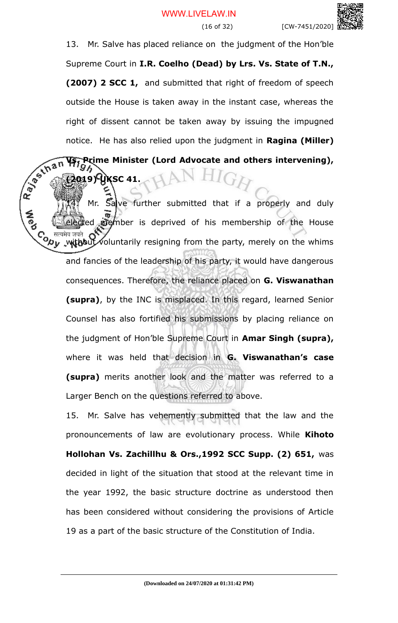13. Mr. Salve has placed reliance on the judgment of the Hon'ble Supreme Court in **I.R. Coelho (Dead) by Lrs. Vs. State of T.N., (2007) 2 SCC 1,** and submitted that right of freedom of speech outside the House is taken away in the instant case, whereas the right of dissent cannot be taken away by issuing the impugned notice. He has also relied upon the judgment in **Ragina (Miller)**

Rayoum **Vs. Prime Minister (Lord Advocate and others intervening), (2019) UKSC 41.**

Mr. Salve further submitted that if a properly and duly ed member is deprived of his membership of the House Co सत्यमेव जयते of voluntarily resigning from the party, merely on the whims and fancies of the leadership of his party, it would have dangerous consequences. Therefore, the reliance placed on **G. Viswanathan (supra)**, by the INC is misplaced. In this regard, learned Senior Counsel has also fortified his submissions by placing reliance on the judgment of Hon'ble Supreme Court in **Amar Singh (supra),** where it was held that decision in **G. Viswanathan's case (supra)** merits another look and the matter was referred to a Larger Bench on the questions referred to above.

15. Mr. Salve has vehemently submitted that the law and the pronouncements of law are evolutionary process. While **Kihoto Hollohan Vs. Zachillhu & Ors.,1992 SCC Supp. (2) 651,** was decided in light of the situation that stood at the relevant time in the year 1992, the basic structure doctrine as understood then has been considered without considering the provisions of Article 19 as a part of the basic structure of the Constitution of India.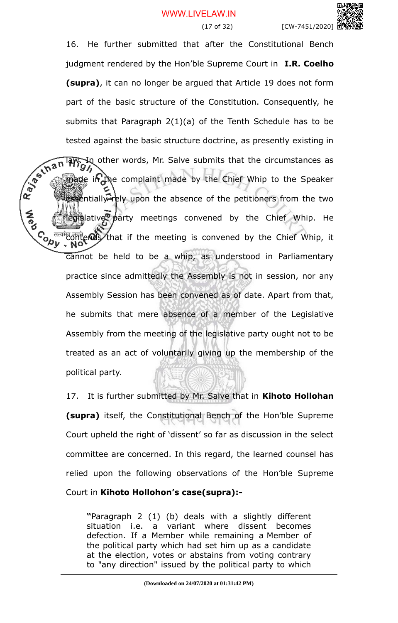

16. He further submitted that after the Constitutional Bench judgment rendered by the Hon'ble Supreme Court in **I.R. Coelho (supra)**, it can no longer be argued that Article 19 does not form part of the basic structure of the Constitution. Consequently, he submits that Paragraph 2(1)(a) of the Tenth Schedule has to be tested against the basic structure doctrine, as presently existing in<br>  $\frac{1}{2}$   $\frac{1}{2}$   $\frac{1}{2}$   $\frac{1}{2}$   $\frac{1}{2}$   $\frac{1}{2}$   $\frac{1}{2}$   $\frac{1}{2}$   $\frac{1}{2}$   $\frac{1}{2}$   $\frac{1}{2}$   $\frac{1}{2}$   $\frac{1}{2}$   $\frac{1}{2}$   $\frac{1}{2}$  In other words, Mr. Salve submits that the circumstances as ade in the complaint made by the Chief Whip to the Speaker ssentially rely upon the absence of the petitioners from the two egislative party meetings convened by the Chief Whip. He Contend and first that if the meeting is convened by the Chief Whip, it cannot be held to be a whip, as understood in Parliamentary practice since admittedly the Assembly is not in session, nor any Assembly Session has been convened as of date. Apart from that, he submits that mere absence of a member of the Legislative Assembly from the meeting of the legislative party ought not to be treated as an act of voluntarily giving up the membership of the political party.

**A**<br>Po

17. It is further submitted by Mr. Salve that in **Kihoto Hollohan (supra)** itself, the Constitutional Bench of the Hon'ble Supreme Court upheld the right of 'dissent' so far as discussion in the select committee are concerned. In this regard, the learned counsel has relied upon the following observations of the Hon'ble Supreme Court in **Kihoto Hollohon's case(supra):-**

**"**Paragraph 2 (1) (b) deals with a slightly different situation i.e. a variant where dissent becomes defection. If a Member while remaining a Member of the political party which had set him up as a candidate at the election, votes or abstains from voting contrary to "any direction" issued by the political party to which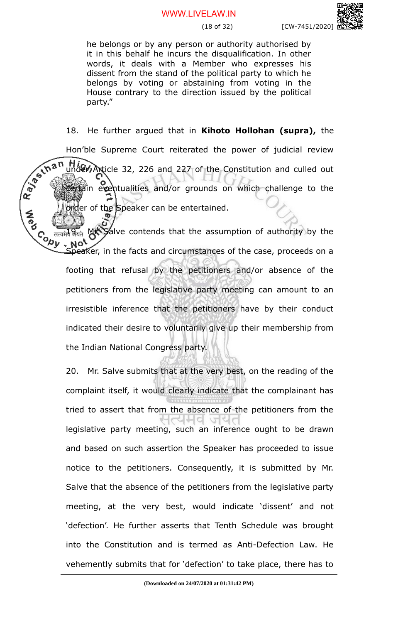#### WWW.LIVELAW.IN

he belongs or by any person or authority authorised by it in this behalf he incurs the disqualification. In other words, it deals with a Member who expresses his dissent from the stand of the political party to which he belongs by voting or abstaining from voting in the House contrary to the direction issued by the political party."

18. He further argued that in **Kihoto Hollohan (supra),** the Hon'ble Supreme Court reiterated the power of judicial review<br>
which the Constitution and culled out<br>  $x^2 + 3x + 2$ <br>
which the Constitution and culled out<br>  $x^2 + 3x + 2$ <br>
which the Constitution and culled out<br>  $x^2 + 3x + 2$ <br> High Article 32, 226 and 227 of the Constitution and culled out comin eventualities and/or grounds on which challenge to the der of the Speaker can be entertained.

Salve contends that the assumption of authority by the Contra Not Speaker, in the facts and circumstances of the case, proceeds on a footing that refusal by the petitioners and/or absence of the petitioners from the legislative party meeting can amount to an irresistible inference that the petitioners have by their conduct indicated their desire to voluntarily give up their membership from the Indian National Congress party.

20. Mr. Salve submits that at the very best, on the reading of the complaint itself, it would clearly indicate that the complainant has tried to assert that from the absence of the petitioners from the  $\sqrt{2}$ legislative party meeting, such an inference ought to be drawn and based on such assertion the Speaker has proceeded to issue notice to the petitioners. Consequently, it is submitted by Mr. Salve that the absence of the petitioners from the legislative party meeting, at the very best, would indicate 'dissent' and not 'defection'. He further asserts that Tenth Schedule was brought into the Constitution and is termed as Anti-Defection Law. He vehemently submits that for 'defection' to take place, there has to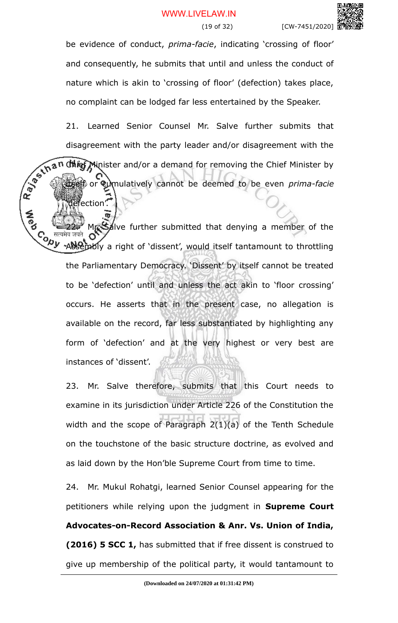be evidence of conduct, *prima-facie*, indicating 'crossing of floor' and consequently, he submits that until and unless the conduct of nature which is akin to 'crossing of floor' (defection) takes place, no complaint can be lodged far less entertained by the Speaker.

21. Learned Senior Counsel Mr. Salve further submits that disagreement with the party leader and/or disagreement with the **Chief Minister and/or a demand for removing the Chief Minister by** itself or cumulatively cannot be deemed to be even *prima-facie*

'defection'.

Mr. Salve further submitted that denying a member of the  $\mathcal{L}_{\mathcal{A}}$  and  $\mathcal{L}_{\mathcal{A}}$  and  $\mathcal{L}_{\mathcal{A}}$  aright of 'dissent', would itself tantamount to throttling the Parliamentary Democracy. 'Dissent' by itself cannot be treated to be 'defection' until and unless the act akin to 'floor crossing' occurs. He asserts that in the present case, no allegation is available on the record, far less substantiated by highlighting any form of 'defection' and at the very highest or very best are instances of 'dissent'.

23. Mr. Salve therefore, submits that this Court needs to examine in its jurisdiction under Article 226 of the Constitution the width and the scope of Paragraph 2(1)(a) of the Tenth Schedule on the touchstone of the basic structure doctrine, as evolved and as laid down by the Hon'ble Supreme Court from time to time.

24. Mr. Mukul Rohatgi, learned Senior Counsel appearing for the petitioners while relying upon the judgment in **Supreme Court Advocates-on-Record Association & Anr. Vs. Union of India, (2016) 5 SCC 1,** has submitted that if free dissent is construed to give up membership of the political party, it would tantamount to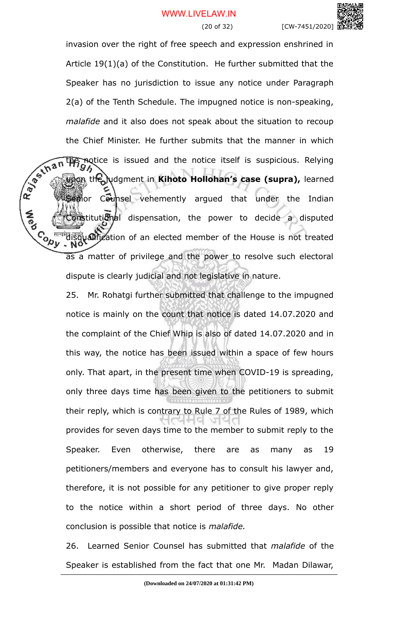invasion over the right of free speech and expression enshrined in Article 19(1)(a) of the Constitution. He further submitted that the Speaker has no jurisdiction to issue any notice under Paragraph 2(a) of the Tenth Schedule. The impugned notice is non-speaking, *malafide* and it also does not speak about the situation to recoup the Chief Minister. He further submits that the manner in which Ray of that motice is issued and the notice itself is suspicious. Relying  $\Omega$ the judgment in Kihoto Hollohan's case (supra), learned Segior Counsel vehemently argued that under the Indian **Constitutional dispensation, the power to decide a disputed CONTROL** disqualification of an elected member of the House is not treated as a matter of privilege and the power to resolve such electoral dispute is clearly judicial and not legislative in nature.

**A**ed

25. Mr. Rohatgi further submitted that challenge to the impugned notice is mainly on the count that notice is dated 14.07.2020 and the complaint of the Chief Whip is also of dated 14.07.2020 and in this way, the notice has been issued within a space of few hours only. That apart, in the present time when COVID-19 is spreading, only three days time has been given to the petitioners to submit their reply, which is contrary to Rule 7 of the Rules of 1989, which provides for seven days time to the member to submit reply to the Speaker. Even otherwise, there are as many as 19 petitioners/members and everyone has to consult his lawyer and, therefore, it is not possible for any petitioner to give proper reply to the notice within a short period of three days. No other conclusion is possible that notice is *malafide.*

26. Learned Senior Counsel has submitted that *malafide* of the Speaker is established from the fact that one Mr. Madan Dilawar,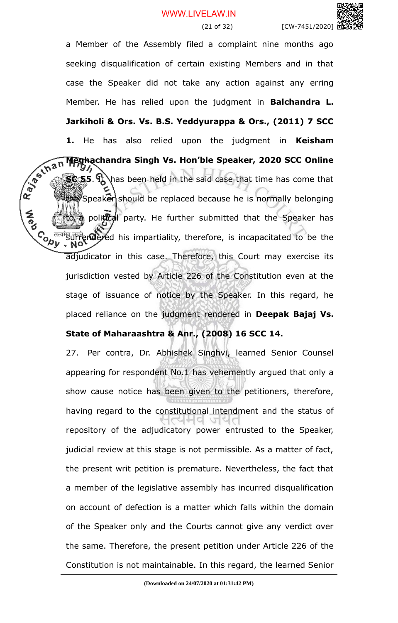a Member of the Assembly filed a complaint nine months ago seeking disqualification of certain existing Members and in that case the Speaker did not take any action against any erring Member. He has relied upon the judgment in **Balchandra L. Jarkiholi & Ors. Vs. B.S. Yeddyurappa & Ors., (2011) 7 SCC 1.** He has also relied upon the judgment in **Keisham** R. Januar **Meghachandra Singh Vs. Hon'ble Speaker, 2020 SCC Online SC 55. It** has been held in the said case that time has come that speaker should be replaced because he is normally belonging political party. He further submitted that the Speaker has  $\mathcal{S}_{\mathbf{a}_{1}}$  and  $\mathcal{S}_{\mathbf{a}_{1}}$  is incapacitated to be the adjudicator in this case. Therefore, this Court may exercise its jurisdiction vested by Article 226 of the Constitution even at the stage of issuance of notice by the Speaker. In this regard, he placed reliance on the judgment rendered in **Deepak Bajaj Vs.**

#### **State of Maharaashtra & Anr., (2008) 16 SCC 14.**

**A**<br>Po

27. Per contra, Dr. Abhishek Singhvi, learned Senior Counsel appearing for respondent No.1 has vehemently argued that only a show cause notice has been given to the petitioners, therefore, having regard to the constitutional intendment and the status of repository of the adjudicatory power entrusted to the Speaker, judicial review at this stage is not permissible. As a matter of fact, the present writ petition is premature. Nevertheless, the fact that a member of the legislative assembly has incurred disqualification on account of defection is a matter which falls within the domain of the Speaker only and the Courts cannot give any verdict over the same. Therefore, the present petition under Article 226 of the Constitution is not maintainable. In this regard, the learned Senior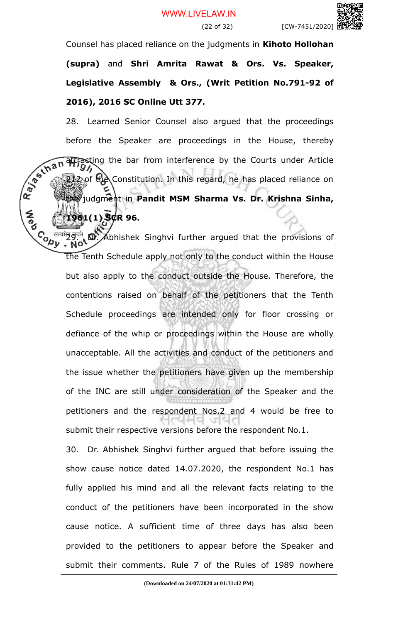#### (22 of 32) [CW-7451/2020]



Counsel has placed reliance on the judgments in **Kihoto Hollohan**

**(supra)** and **Shri Amrita Rawat & Ors. Vs. Speaker, Legislative Assembly & Ors., (Writ Petition No.791-92 of 2016), 2016 SC Online Utt 377.**

28. Learned Senior Counsel also argued that the proceedings before the Speaker are proceedings in the House, thereby attracting the bar from interference by the Courts under Article 212 of the Constitution. In this regard, he has placed reliance on the judgment in **Pandit MSM Sharma Vs. Dr. Krishna Sinha, 1961(1) SCR 96.**

 $C_{\lambda}$ <sup> $\overline{u}$ </sup> $\overline{u}$  $\overline{v}$ .  $\overline{u}$   $\overline{v}$ . Abhishek Singhvi further argued that the provisions of the Tenth Schedule apply not only to the conduct within the House but also apply to the conduct outside the House. Therefore, the contentions raised on behalf of the petitioners that the Tenth Schedule proceedings are intended only for floor crossing or defiance of the whip or proceedings within the House are wholly unacceptable. All the activities and conduct of the petitioners and the issue whether the petitioners have given up the membership of the INC are still under consideration of the Speaker and the petitioners and the respondent Nos.2 and 4 would be free to submit their respective versions before the respondent No.1.

30. Dr. Abhishek Singhvi further argued that before issuing the show cause notice dated 14.07.2020, the respondent No.1 has fully applied his mind and all the relevant facts relating to the conduct of the petitioners have been incorporated in the show cause notice. A sufficient time of three days has also been provided to the petitioners to appear before the Speaker and submit their comments. Rule 7 of the Rules of 1989 nowhere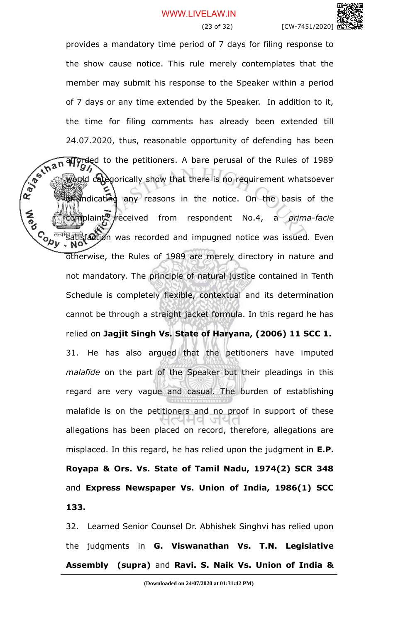provides a mandatory time period of 7 days for filing response to

the show cause notice. This rule merely contemplates that the member may submit his response to the Speaker within a period of 7 days or any time extended by the Speaker. In addition to it, the time for filing comments has already been extended till 24.07.2020, thus, reasonable opportunity of defending has been<br>  $\sqrt{2\pi}$  an allocated to the petitioners. A bare perusal of the Rules of 1989 afforded to the petitioners. A bare perusal of the Rules of 1989 would categorically show that there is no requirement whatsoever mdicating any reasons in the notice. On the basis of the complaint received from respondent No.4, a *prima-facie*  $\mathbf{S}_{\mathbf{a}}$  and impugned notice was issued. Even otherwise, the Rules of 1989 are merely directory in nature and not mandatory. The principle of natural justice contained in Tenth Schedule is completely flexible, contextual and its determination cannot be through a straight jacket formula. In this regard he has relied on **Jagjit Singh Vs. State of Haryana, (2006) 11 SCC 1.** 31. He has also argued that the petitioners have imputed *malafide* on the part of the Speaker but their pleadings in this regard are very vague and casual. The burden of establishing malafide is on the petitioners and no proof in support of these allegations has been placed on record, therefore, allegations are misplaced. In this regard, he has relied upon the judgment in **E.P. Royapa & Ors. Vs. State of Tamil Nadu, 1974(2) SCR 348** and **Express Newspaper Vs. Union of India, 1986(1) SCC 133.**

**A**ed

32. Learned Senior Counsel Dr. Abhishek Singhvi has relied upon the judgments in **G. Viswanathan Vs. T.N. Legislative Assembly (supra)** and **Ravi. S. Naik Vs. Union of India &**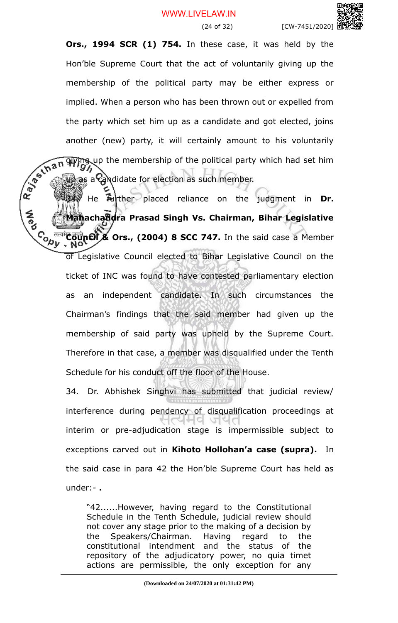#### WWW.LIVELAW.IN

(24 of 32) [CW-7451/2020]

**Ors., 1994 SCR (1) 754.** In these case, it was held by the Hon'ble Supreme Court that the act of voluntarily giving up the membership of the political party may be either express or implied. When a person who has been thrown out or expelled from the party which set him up as a candidate and got elected, joins another (new) party, it will certainly amount to his voluntarily giving up the membership of the political party which had set him

33. He further placed reliance on the judgment in **Dr. A**<br>Pap **Mahachandra Prasad Singh Vs. Chairman, Bihar Legislative** Council & Ors., (2004) 8 SCC 747. In the said case a Member of Legislative Council elected to Bihar Legislative Council on the ticket of INC was found to have contested parliamentary election as an independent candidate. In such circumstances the Chairman's findings that the said member had given up the membership of said party was upheld by the Supreme Court. Therefore in that case, a member was disqualified under the Tenth Schedule for his conduct off the floor of the House.

up as a candidate for election as such member.

34. Dr. Abhishek Singhvi has submitted that judicial review/ interference during pendency of disqualification proceedings at  $Q_1$ interim or pre-adjudication stage is impermissible subject to exceptions carved out in **Kihoto Hollohan'a case (supra).** In the said case in para 42 the Hon'ble Supreme Court has held as under:- **.**

"42......However, having regard to the Constitutional Schedule in the Tenth Schedule, judicial review should not cover any stage prior to the making of a decision by the Speakers/Chairman. Having regard to the constitutional intendment and the status of the repository of the adjudicatory power, no quia timet actions are permissible, the only exception for any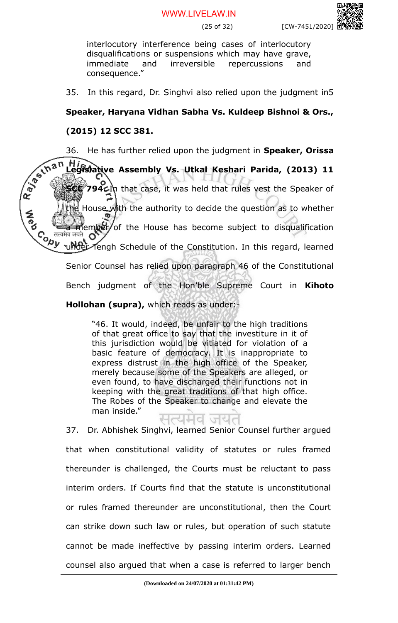$[CW-7451/2020]$ 

interlocutory interference being cases of interlocutory disqualifications or suspensions which may have grave, immediate and irreversible repercussions and consequence."

35. In this regard, Dr. Singhvi also relied upon the judgment in5

## **Speaker, Haryana Vidhan Sabha Vs. Kuldeep Bishnoi & Ors.,**

### **(2015) 12 SCC 381.**

36. He has further relied upon the judgment in **Speaker, Orissa Legislative Assembly Vs. Utkal Keshari Parida, (2013) 11 SCC 794.** In that case, it was held that rules vest the Speaker of House with the authority to decide the question as to whether iember of the House has become subject to disqualification Contra under Tengh Schedule of the Constitution. In this regard, learned Senior Counsel has relied upon paragraph 46 of the Constitutional Bench judgment of the Hon'ble Supreme Court in **Kihoto**

### **Hollohan (supra),** which reads as under:-

"46. It would, indeed, be unfair to the high traditions of that great office to say that the investiture in it of this jurisdiction would be vitiated for violation of a basic feature of democracy. It is inappropriate to express distrust in the high office of the Speaker, merely because some of the Speakers are alleged, or even found, to have discharged their functions not in keeping with the great traditions of that high office. The Robes of the Speaker to change and elevate the man inside."

37. Dr. Abhishek Singhvi, learned Senior Counsel further argued that when constitutional validity of statutes or rules framed thereunder is challenged, the Courts must be reluctant to pass interim orders. If Courts find that the statute is unconstitutional or rules framed thereunder are unconstitutional, then the Court can strike down such law or rules, but operation of such statute cannot be made ineffective by passing interim orders. Learned counsel also argued that when a case is referred to larger bench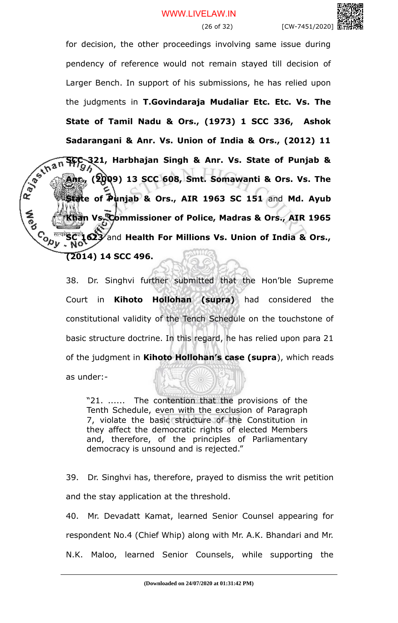for decision, the other proceedings involving same issue during pendency of reference would not remain stayed till decision of Larger Bench. In support of his submissions, he has relied upon the judgments in **T.Govindaraja Mudaliar Etc. Etc. Vs. The State of Tamil Nadu & Ors., (1973) 1 SCC 336, Ashok** Sadarangani & Anr. Vs. Union of India & Ors., (2012) 11<br> **Sadarangani & Anr. Vs. State of Punjab & Anr.**<br> **Anr.** (2009) 13 SCC 608, Smt. Somawer: **SCC 321, Harbhajan Singh & Anr. Vs. State of Punjab & Anr., (2009) 13 SCC 608, Smt. Somawanti & Ors. Vs. The State of Punjab & Ors., AIR 1963 SC 151** and **Md. Ayub Khan Vs. Commissioner of Police, Madras & Ors., AIR 1965** Co, <sup>Heart</sup>Sc<sup>ric</sup>t 623 and Health For Millions Vs. Union of India & Ors., **(2014) 14 SCC 496.** 

**A**<br>Po

38. Dr. Singhvi further submitted that the Hon'ble Supreme Court in **Kihoto Hollohan (supra)** had considered the constitutional validity of the Tench Schedule on the touchstone of basic structure doctrine. In this regard, he has relied upon para 21 of the judgment in **Kihoto Hollohan's case (supra**), which reads as under:-

"21. ...... The contention that the provisions of the Tenth Schedule, even with the exclusion of Paragraph 7, violate the basic structure of the Constitution in they affect the democratic rights of elected Members and, therefore, of the principles of Parliamentary democracy is unsound and is rejected."

39. Dr. Singhvi has, therefore, prayed to dismiss the writ petition and the stay application at the threshold.

40. Mr. Devadatt Kamat, learned Senior Counsel appearing for respondent No.4 (Chief Whip) along with Mr. A.K. Bhandari and Mr. N.K. Maloo, learned Senior Counsels, while supporting the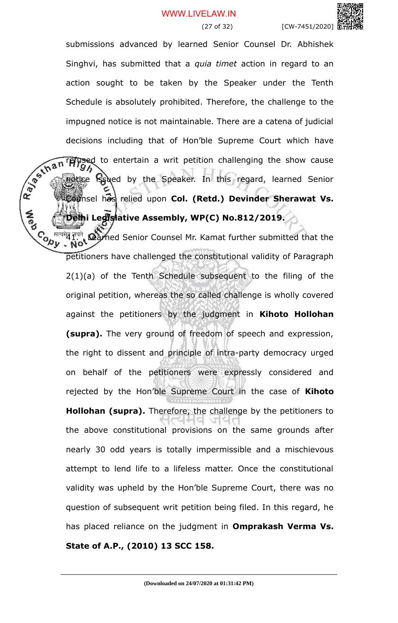#### WWW.LIVELAW.IN



submissions advanced by learned Senior Counsel Dr. Abhishek Singhvi, has submitted that a *quia timet* action in regard to an action sought to be taken by the Speaker under the Tenth Schedule is absolutely prohibited. Therefore, the challenge to the impugned notice is not maintainable. There are a catena of judicial decisions including that of Hon'ble Supreme Court which have<br> $\frac{1}{20}$ <br> $\frac{1}{20}$ <br> $\frac{1}{20}$ <br> $\frac{1}{20}$ <br> $\frac{1}{20}$ <br> $\frac{1}{20}$ <br> $\frac{1}{20}$ <br> $\frac{1}{20}$ <br> $\frac{1}{20}$ <br> $\frac{1}{20}$ <br> $\frac{1}{20}$ <br> $\frac{1}{20}$ <br> $\frac{1}{20}$ <br> $\frac{1}{20}$ <br> $\frac{1}{$ refused to entertain a writ petition challenging the show cause notice is used by the Speaker. In this regard, learned Senior **Counsel has relied upon Col. (Retd.) Devinder Sherawat Vs. Delhi Legislative Assembly, WP(C) No.812/2019.** 

**A**<br>Po

Co <sup>Heart</sup> F<sup>ard</sup> Rearned Senior Counsel Mr. Kamat further submitted that the  $\mathcal{A}$ y. Not petitioners have challenged the constitutional validity of Paragraph 2(1)(a) of the Tenth Schedule subsequent to the filing of the original petition, whereas the so called challenge is wholly covered against the petitioners by the judgment in **Kihoto Hollohan (supra).** The very ground of freedom of speech and expression, the right to dissent and principle of intra-party democracy urged on behalf of the petitioners were expressly considered and rejected by the Hon'ble Supreme Court in the case of **Kihoto Hollohan (supra).** Therefore, the challenge by the petitioners to the above constitutional provisions on the same grounds after nearly 30 odd years is totally impermissible and a mischievous attempt to lend life to a lifeless matter. Once the constitutional validity was upheld by the Hon'ble Supreme Court, there was no question of subsequent writ petition being filed. In this regard, he has placed reliance on the judgment in **Omprakash Verma Vs. State of A.P., (2010) 13 SCC 158.**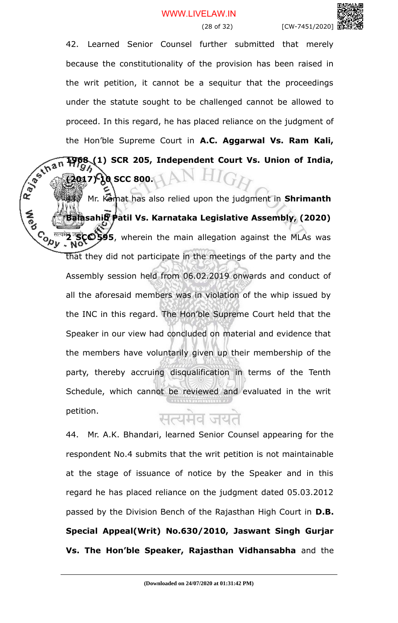42. Learned Senior Counsel further submitted that merely because the constitutionality of the provision has been raised in the writ petition, it cannot be a sequitur that the proceedings under the statute sought to be challenged cannot be allowed to proceed. In this regard, he has placed reliance on the judgment of the Hon'ble Supreme Court in **A.C. Aggarwal Vs. Ram Kali,**

Ray of that **1968 (1) SCR 205, Independent Court Vs. Union of India, (2017) 10 SCC 800.**

Mr. Kamat has also relied upon the judgment in **Shrimanth Balasahib Patil Vs. Karnataka Legislative Assembly, (2020) Conv 2 SCC 595**, wherein the main allegation against the MLAs was that they did not participate in the meetings of the party and the Assembly session held from 06.02.2019 onwards and conduct of all the aforesaid members was in violation of the whip issued by the INC in this regard. The Hon'ble Supreme Court held that the Speaker in our view had concluded on material and evidence that the members have voluntarily given up their membership of the party, thereby accruing disqualification in terms of the Tenth Schedule, which cannot be reviewed and evaluated in the writ petition.

# सत्यमेव जय

44. Mr. A.K. Bhandari, learned Senior Counsel appearing for the respondent No.4 submits that the writ petition is not maintainable at the stage of issuance of notice by the Speaker and in this regard he has placed reliance on the judgment dated 05.03.2012 passed by the Division Bench of the Rajasthan High Court in **D.B. Special Appeal(Writ) No.630/2010, Jaswant Singh Gurjar Vs. The Hon'ble Speaker, Rajasthan Vidhansabha** and the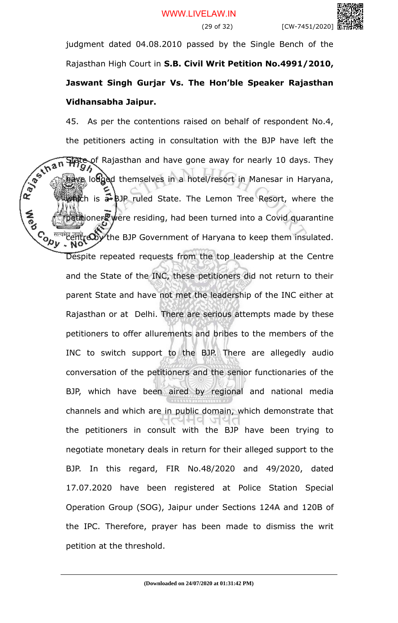judgment dated 04.08.2010 passed by the Single Bench of the Rajasthan High Court in **S.B. Civil Writ Petition No.4991/2010, Jaswant Singh Gurjar Vs. The Hon'ble Speaker Rajasthan Vidhansabha Jaipur.**

45. As per the contentions raised on behalf of respondent No.4, the petitioners acting in consultation with the BJP have left the<br> **An Have** of Rajasthan and have gone away for nearly 10 days. They<br> **An Have** loughed themselves in a hotel/resort in M-State of Rajasthan and have gone away for nearly 10 days. They have lodged themselves in a hotel/resort in Manesar in Haryana, which is  $\frac{1}{2}$  BJP ruled State. The Lemon Tree Resort, where the  $\frac{1}{2}$  were residing, had been turned into a Covid quarantine Contre and the BJP Government of Haryana to keep them insulated. Despite repeated requests from the top leadership at the Centre and the State of the INC, these petitioners did not return to their parent State and have not met the leadership of the INC either at Rajasthan or at Delhi. There are serious attempts made by these petitioners to offer allurements and bribes to the members of the INC to switch support to the BJP. There are allegedly audio conversation of the petitioners and the senior functionaries of the BJP, which have been aired by regional and national media channels and which are in public domain, which demonstrate that the petitioners in consult with the BJP have been trying to negotiate monetary deals in return for their alleged support to the BJP. In this regard, FIR No.48/2020 and 49/2020, dated 17.07.2020 have been registered at Police Station Special Operation Group (SOG), Jaipur under Sections 124A and 120B of the IPC. Therefore, prayer has been made to dismiss the writ petition at the threshold.

**A**<br>Po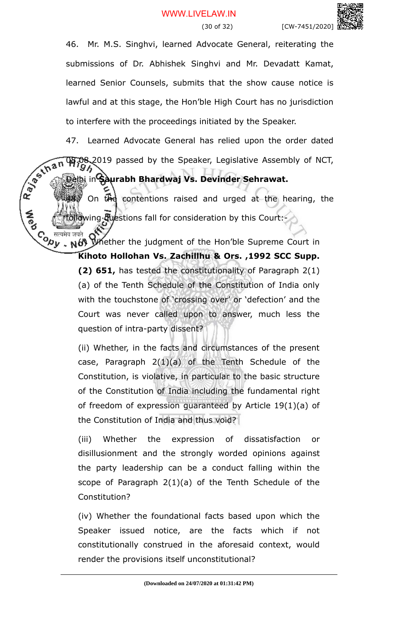46. Mr. M.S. Singhvi, learned Advocate General, reiterating the submissions of Dr. Abhishek Singhvi and Mr. Devadatt Kamat, learned Senior Counsels, submits that the show cause notice is lawful and at this stage, the Hon'ble High Court has no jurisdiction to interfere with the proceedings initiated by the Speaker.

47. Learned Advocate General has relied upon the order dated<br>  $\sqrt{6}$  (h  $\pi$  m  $\pi$ )  $\pi$ )  $\pi$ ) passed by the Speaker, Legislative Assembly of NCT,<br>  $\pi$ <br>  $\pi$ <br>  $\pi$ <br>  $\pi$ 08.2019 passed by the Speaker, Legislative Assembly of NCT,

# Delhi in **Saurabh Bhardwaj Vs. Devinder Sehrawat.**

On the contentions raised and urged at the hearing, the oflowing Guestions fall for consideration by this Court:-

 $\mathcal{C}_{\mathbf{a},\mathbf{b}}$  and  $\mathcal{C}_{\mathbf{b},\mathbf{b}}$ .  $\mathcal{C}_{\mathbf{b},\mathbf{b}}$  whether the judgment of the Hon'ble Supreme Court in

**Kihoto Hollohan Vs. Zachillhu & Ors. ,1992 SCC Supp. (2) 651,** has tested the constitutionality of Paragraph 2(1) (a) of the Tenth Schedule of the Constitution of India only with the touchstone of 'crossing over' or 'defection' and the Court was never called upon to answer, much less the question of intra-party dissent?

(ii) Whether, in the facts and circumstances of the present case, Paragraph 2(1)(a) of the Tenth Schedule of the Constitution, is violative, in particular to the basic structure of the Constitution of India including the fundamental right of freedom of expression guaranteed by Article 19(1)(a) of the Constitution of India and thus void?

(iii) Whether the expression of dissatisfaction or disillusionment and the strongly worded opinions against the party leadership can be a conduct falling within the scope of Paragraph 2(1)(a) of the Tenth Schedule of the Constitution?

(iv) Whether the foundational facts based upon which the Speaker issued notice, are the facts which if not constitutionally construed in the aforesaid context, would render the provisions itself unconstitutional?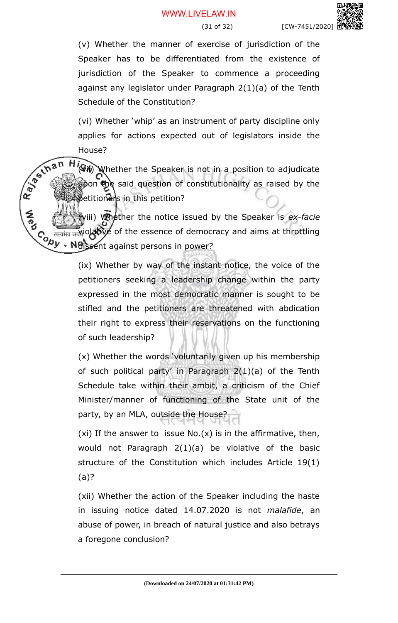(v) Whether the manner of exercise of jurisdiction of the Speaker has to be differentiated from the existence of jurisdiction of the Speaker to commence a proceeding against any legislator under Paragraph 2(1)(a) of the Tenth Schedule of the Constitution?

(vi) Whether 'whip' as an instrument of party discipline only applies for actions expected out of legislators inside the House?

R. P. S. Lhan  $\overrightarrow{W}$  Whether the Speaker is not in a position to adjudicate pon the said question of constitutionality as raised by the petitioners in this petition?

(viii) Whether the notice issued by the Speaker is *ex-facie* Hiolative of the essence of democracy and aims at throttling  $\mathcal{C}_{\mathcal{D} \mathcal{Y}}$  are dissent against persons in power?

> (ix) Whether by way of the instant notice, the voice of the petitioners seeking a leadership change within the party expressed in the most democratic manner is sought to be stifled and the petitioners are threatened with abdication their right to express their reservations on the functioning of such leadership?

> (x) Whether the words 'voluntarily given up his membership of such political party' in Paragraph 2(1)(a) of the Tenth Schedule take within their ambit, a criticism of the Chief Minister/manner of functioning of the State unit of the party, by an MLA, outside the House?

> (xi) If the answer to issue  $No(x)$  is in the affirmative, then, would not Paragraph 2(1)(a) be violative of the basic structure of the Constitution which includes Article 19(1) (a)?

> (xii) Whether the action of the Speaker including the haste in issuing notice dated 14.07.2020 is not *malafide*, an abuse of power, in breach of natural justice and also betrays a foregone conclusion?